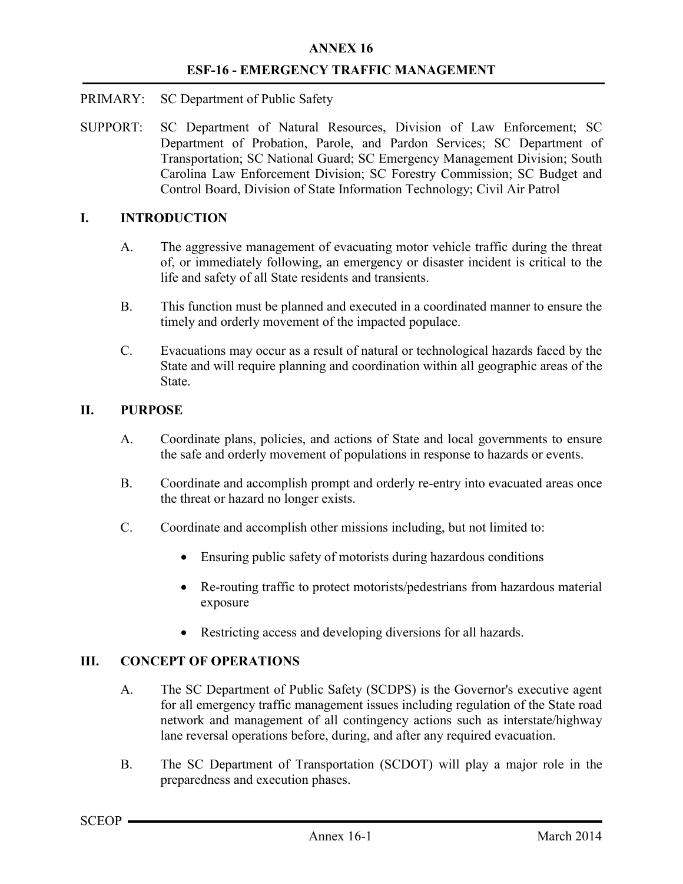- PRIMARY: SC Department of Public Safety
- SUPPORT: SC Department of Natural Resources, Division of Law Enforcement; SC Department of Probation, Parole, and Pardon Services; SC Department of Transportation; SC National Guard; SC Emergency Management Division; South Carolina Law Enforcement Division; SC Forestry Commission; SC Budget and Control Board, Division of State Information Technology; Civil Air Patrol

## I. INTRODUCTION

- A. The aggressive management of evacuating motor vehicle traffic during the threat of, or immediately following, an emergency or disaster incident is critical to the life and safety of all State residents and transients.
- B. This function must be planned and executed in a coordinated manner to ensure the timely and orderly movement of the impacted populace.
- C. Evacuations may occur as a result of natural or technological hazards faced by the State and will require planning and coordination within all geographic areas of the State.

#### II. PURPOSE

- A. Coordinate plans, policies, and actions of State and local governments to ensure the safe and orderly movement of populations in response to hazards or events.
- B. Coordinate and accomplish prompt and orderly re-entry into evacuated areas once the threat or hazard no longer exists.
- C. Coordinate and accomplish other missions including, but not limited to:
	- Ensuring public safety of motorists during hazardous conditions
	- Re-routing traffic to protect motorists/pedestrians from hazardous material exposure
	- Restricting access and developing diversions for all hazards.

# III. CONCEPT OF OPERATIONS

- A. The SC Department of Public Safety (SCDPS) is the Governor's executive agent for all emergency traffic management issues including regulation of the State road network and management of all contingency actions such as interstate/highway lane reversal operations before, during, and after any required evacuation.
- B. The SC Department of Transportation (SCDOT) will play a major role in the preparedness and execution phases.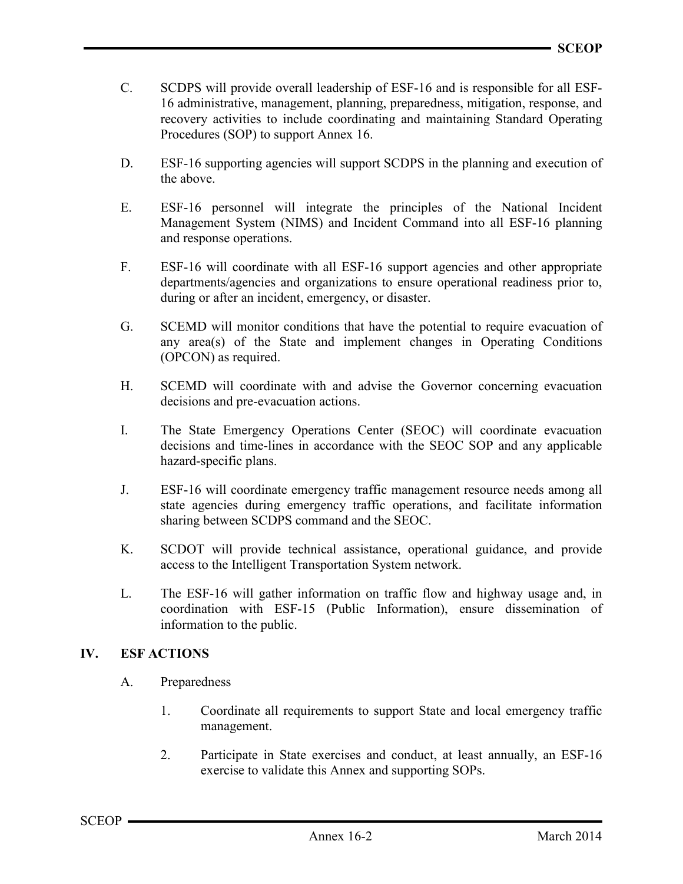- C. SCDPS will provide overall leadership of ESF-16 and is responsible for all ESF-16 administrative, management, planning, preparedness, mitigation, response, and recovery activities to include coordinating and maintaining Standard Operating Procedures (SOP) to support Annex 16.
- D. ESF-16 supporting agencies will support SCDPS in the planning and execution of the above.
- E. ESF-16 personnel will integrate the principles of the National Incident Management System (NIMS) and Incident Command into all ESF-16 planning and response operations.
- F. ESF-16 will coordinate with all ESF-16 support agencies and other appropriate departments/agencies and organizations to ensure operational readiness prior to, during or after an incident, emergency, or disaster.
- G. SCEMD will monitor conditions that have the potential to require evacuation of any area(s) of the State and implement changes in Operating Conditions (OPCON) as required.
- H. SCEMD will coordinate with and advise the Governor concerning evacuation decisions and pre-evacuation actions.
- I. The State Emergency Operations Center (SEOC) will coordinate evacuation decisions and time-lines in accordance with the SEOC SOP and any applicable hazard-specific plans.
- J. ESF-16 will coordinate emergency traffic management resource needs among all state agencies during emergency traffic operations, and facilitate information sharing between SCDPS command and the SEOC.
- K. SCDOT will provide technical assistance, operational guidance, and provide access to the Intelligent Transportation System network.
- L. The ESF-16 will gather information on traffic flow and highway usage and, in coordination with ESF-15 (Public Information), ensure dissemination of information to the public.

### IV. ESF ACTIONS

- A. Preparedness
	- 1. Coordinate all requirements to support State and local emergency traffic management.
	- 2. Participate in State exercises and conduct, at least annually, an ESF-16 exercise to validate this Annex and supporting SOPs.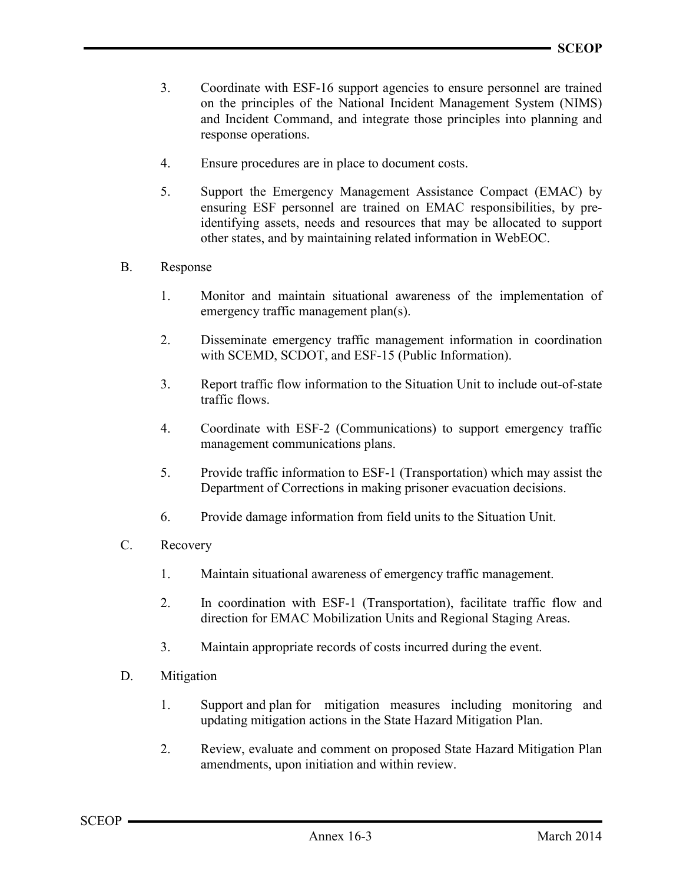- 3. Coordinate with ESF-16 support agencies to ensure personnel are trained on the principles of the National Incident Management System (NIMS) and Incident Command, and integrate those principles into planning and response operations.
- 4. Ensure procedures are in place to document costs.
- 5. Support the Emergency Management Assistance Compact (EMAC) by ensuring ESF personnel are trained on EMAC responsibilities, by preidentifying assets, needs and resources that may be allocated to support other states, and by maintaining related information in WebEOC.
- B. Response
	- 1. Monitor and maintain situational awareness of the implementation of emergency traffic management plan(s).
	- 2. Disseminate emergency traffic management information in coordination with SCEMD, SCDOT, and ESF-15 (Public Information).
	- 3. Report traffic flow information to the Situation Unit to include out-of-state traffic flows.
	- 4. Coordinate with ESF-2 (Communications) to support emergency traffic management communications plans.
	- 5. Provide traffic information to ESF-1 (Transportation) which may assist the Department of Corrections in making prisoner evacuation decisions.
	- 6. Provide damage information from field units to the Situation Unit.
- C. Recovery
	- 1. Maintain situational awareness of emergency traffic management.
	- 2. In coordination with ESF-1 (Transportation), facilitate traffic flow and direction for EMAC Mobilization Units and Regional Staging Areas.
	- 3. Maintain appropriate records of costs incurred during the event.
- D. Mitigation
	- 1. Support and plan for mitigation measures including monitoring and updating mitigation actions in the State Hazard Mitigation Plan.
	- 2. Review, evaluate and comment on proposed State Hazard Mitigation Plan amendments, upon initiation and within review.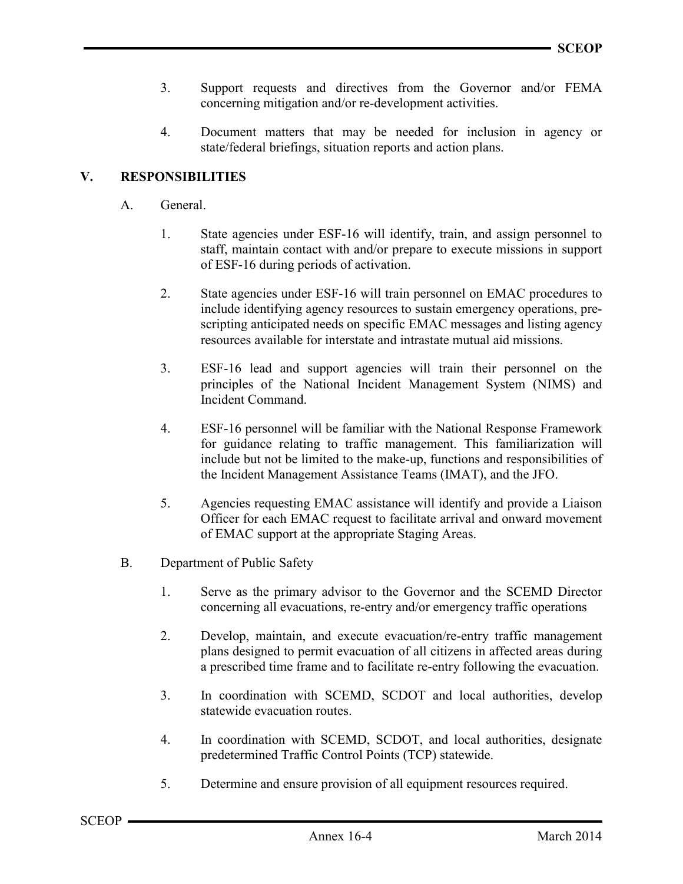- 3. Support requests and directives from the Governor and/or FEMA concerning mitigation and/or re-development activities.
- 4. Document matters that may be needed for inclusion in agency or state/federal briefings, situation reports and action plans.

# V. RESPONSIBILITIES

- A. General.
	- 1. State agencies under ESF-16 will identify, train, and assign personnel to staff, maintain contact with and/or prepare to execute missions in support of ESF-16 during periods of activation.
	- 2. State agencies under ESF-16 will train personnel on EMAC procedures to include identifying agency resources to sustain emergency operations, prescripting anticipated needs on specific EMAC messages and listing agency resources available for interstate and intrastate mutual aid missions.
	- 3. ESF-16 lead and support agencies will train their personnel on the principles of the National Incident Management System (NIMS) and Incident Command.
	- 4. ESF-16 personnel will be familiar with the National Response Framework for guidance relating to traffic management. This familiarization will include but not be limited to the make-up, functions and responsibilities of the Incident Management Assistance Teams (IMAT), and the JFO.
	- 5. Agencies requesting EMAC assistance will identify and provide a Liaison Officer for each EMAC request to facilitate arrival and onward movement of EMAC support at the appropriate Staging Areas.
- B. Department of Public Safety
	- 1. Serve as the primary advisor to the Governor and the SCEMD Director concerning all evacuations, re-entry and/or emergency traffic operations
	- 2. Develop, maintain, and execute evacuation/re-entry traffic management plans designed to permit evacuation of all citizens in affected areas during a prescribed time frame and to facilitate re-entry following the evacuation.
	- 3. In coordination with SCEMD, SCDOT and local authorities, develop statewide evacuation routes.
	- 4. In coordination with SCEMD, SCDOT, and local authorities, designate predetermined Traffic Control Points (TCP) statewide.
	- 5. Determine and ensure provision of all equipment resources required.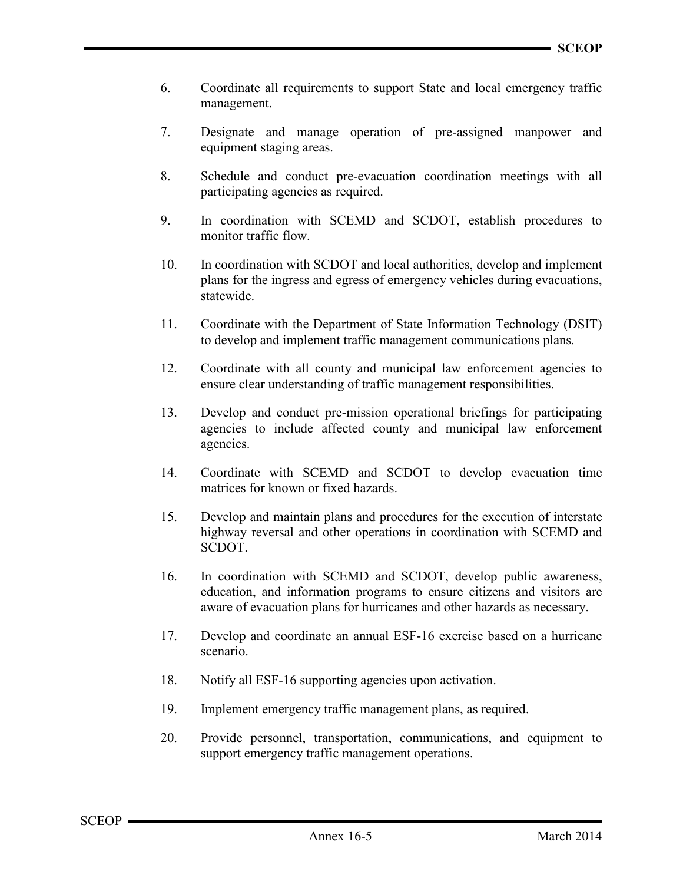- 6. Coordinate all requirements to support State and local emergency traffic management.
- 7. Designate and manage operation of pre-assigned manpower and equipment staging areas.
- 8. Schedule and conduct pre-evacuation coordination meetings with all participating agencies as required.
- 9. In coordination with SCEMD and SCDOT, establish procedures to monitor traffic flow.
- 10. In coordination with SCDOT and local authorities, develop and implement plans for the ingress and egress of emergency vehicles during evacuations, statewide.
- 11. Coordinate with the Department of State Information Technology (DSIT) to develop and implement traffic management communications plans.
- 12. Coordinate with all county and municipal law enforcement agencies to ensure clear understanding of traffic management responsibilities.
- 13. Develop and conduct pre-mission operational briefings for participating agencies to include affected county and municipal law enforcement agencies.
- 14. Coordinate with SCEMD and SCDOT to develop evacuation time matrices for known or fixed hazards.
- 15. Develop and maintain plans and procedures for the execution of interstate highway reversal and other operations in coordination with SCEMD and SCDOT.
- 16. In coordination with SCEMD and SCDOT, develop public awareness, education, and information programs to ensure citizens and visitors are aware of evacuation plans for hurricanes and other hazards as necessary.
- 17. Develop and coordinate an annual ESF-16 exercise based on a hurricane scenario.
- 18. Notify all ESF-16 supporting agencies upon activation.
- 19. Implement emergency traffic management plans, as required.
- 20. Provide personnel, transportation, communications, and equipment to support emergency traffic management operations.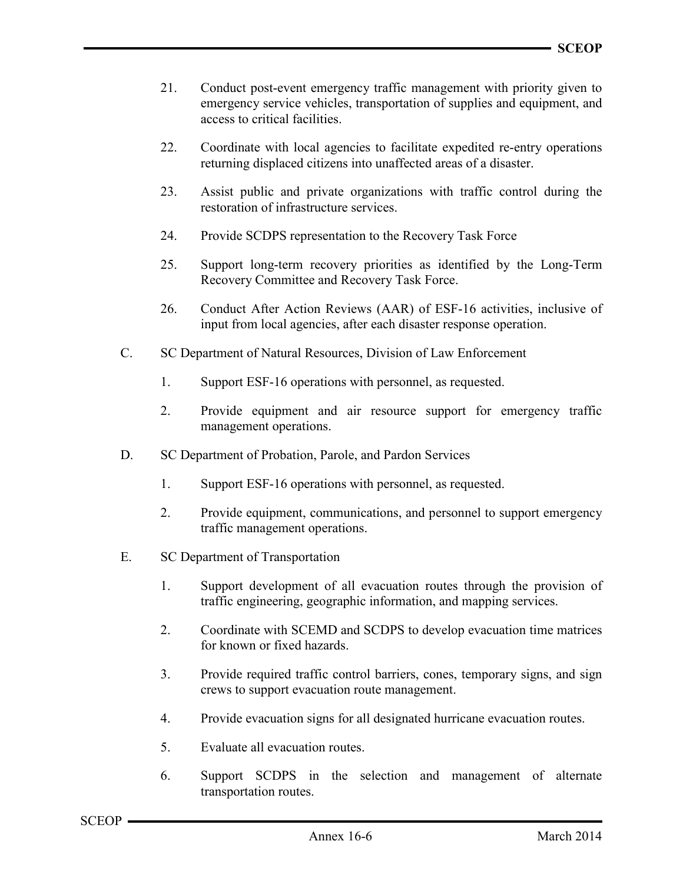- 21. Conduct post-event emergency traffic management with priority given to emergency service vehicles, transportation of supplies and equipment, and access to critical facilities.
- 22. Coordinate with local agencies to facilitate expedited re-entry operations returning displaced citizens into unaffected areas of a disaster.
- 23. Assist public and private organizations with traffic control during the restoration of infrastructure services.
- 24. Provide SCDPS representation to the Recovery Task Force
- 25. Support long-term recovery priorities as identified by the Long-Term Recovery Committee and Recovery Task Force.
- 26. Conduct After Action Reviews (AAR) of ESF-16 activities, inclusive of input from local agencies, after each disaster response operation.
- C. SC Department of Natural Resources, Division of Law Enforcement
	- 1. Support ESF-16 operations with personnel, as requested.
	- 2. Provide equipment and air resource support for emergency traffic management operations.
- D. SC Department of Probation, Parole, and Pardon Services
	- 1. Support ESF-16 operations with personnel, as requested.
	- 2. Provide equipment, communications, and personnel to support emergency traffic management operations.
- E. SC Department of Transportation
	- 1. Support development of all evacuation routes through the provision of traffic engineering, geographic information, and mapping services.
	- 2. Coordinate with SCEMD and SCDPS to develop evacuation time matrices for known or fixed hazards.
	- 3. Provide required traffic control barriers, cones, temporary signs, and sign crews to support evacuation route management.
	- 4. Provide evacuation signs for all designated hurricane evacuation routes.
	- 5. Evaluate all evacuation routes.
	- 6. Support SCDPS in the selection and management of alternate transportation routes.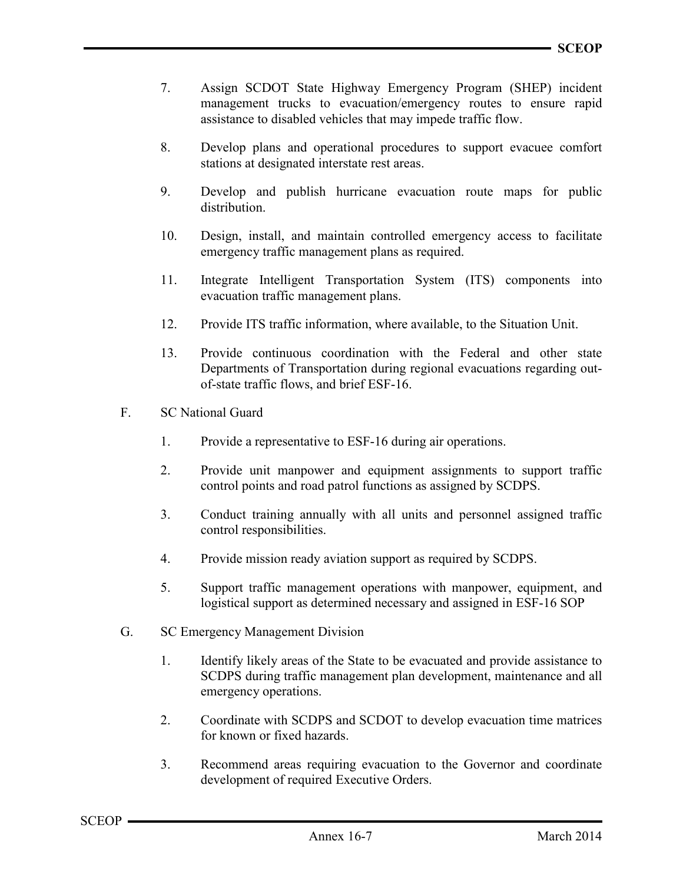- 7. Assign SCDOT State Highway Emergency Program (SHEP) incident management trucks to evacuation/emergency routes to ensure rapid assistance to disabled vehicles that may impede traffic flow.
- 8. Develop plans and operational procedures to support evacuee comfort stations at designated interstate rest areas.
- 9. Develop and publish hurricane evacuation route maps for public distribution.
- 10. Design, install, and maintain controlled emergency access to facilitate emergency traffic management plans as required.
- 11. Integrate Intelligent Transportation System (ITS) components into evacuation traffic management plans.
- 12. Provide ITS traffic information, where available, to the Situation Unit.
- 13. Provide continuous coordination with the Federal and other state Departments of Transportation during regional evacuations regarding outof-state traffic flows, and brief ESF-16.
- F. SC National Guard
	- 1. Provide a representative to ESF-16 during air operations.
	- 2. Provide unit manpower and equipment assignments to support traffic control points and road patrol functions as assigned by SCDPS.
	- 3. Conduct training annually with all units and personnel assigned traffic control responsibilities.
	- 4. Provide mission ready aviation support as required by SCDPS.
	- 5. Support traffic management operations with manpower, equipment, and logistical support as determined necessary and assigned in ESF-16 SOP
- G. SC Emergency Management Division
	- 1. Identify likely areas of the State to be evacuated and provide assistance to SCDPS during traffic management plan development, maintenance and all emergency operations.
	- 2. Coordinate with SCDPS and SCDOT to develop evacuation time matrices for known or fixed hazards.
	- 3. Recommend areas requiring evacuation to the Governor and coordinate development of required Executive Orders.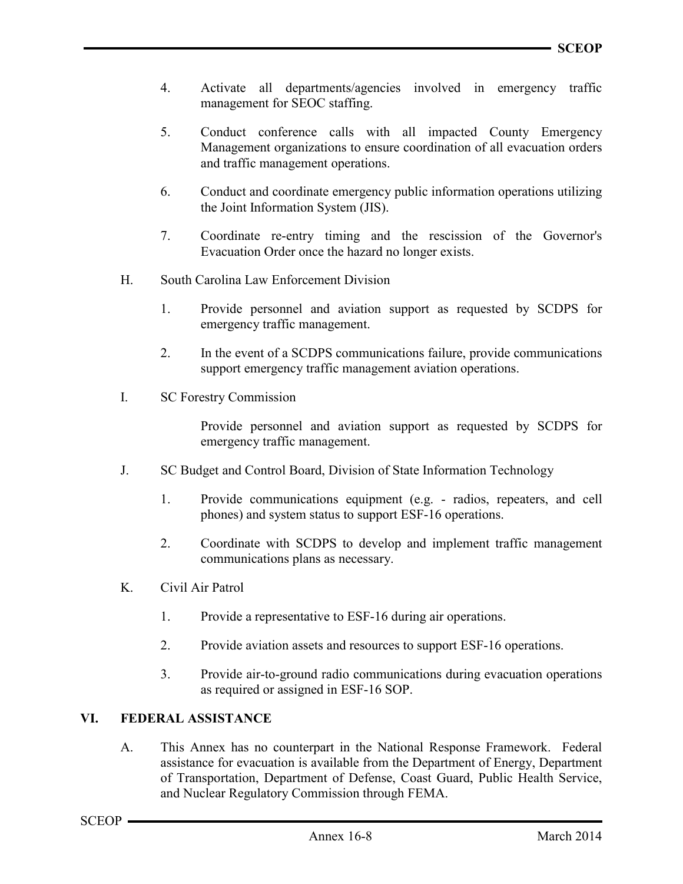- 4. Activate all departments/agencies involved in emergency traffic management for SEOC staffing.
- 5. Conduct conference calls with all impacted County Emergency Management organizations to ensure coordination of all evacuation orders and traffic management operations.
- 6. Conduct and coordinate emergency public information operations utilizing the Joint Information System (JIS).
- 7. Coordinate re-entry timing and the rescission of the Governor's Evacuation Order once the hazard no longer exists.
- H. South Carolina Law Enforcement Division
	- 1. Provide personnel and aviation support as requested by SCDPS for emergency traffic management.
	- 2. In the event of a SCDPS communications failure, provide communications support emergency traffic management aviation operations.
- I. SC Forestry Commission

Provide personnel and aviation support as requested by SCDPS for emergency traffic management.

- J. SC Budget and Control Board, Division of State Information Technology
	- 1. Provide communications equipment (e.g. radios, repeaters, and cell phones) and system status to support ESF-16 operations.
	- 2. Coordinate with SCDPS to develop and implement traffic management communications plans as necessary.
- K. Civil Air Patrol
	- 1. Provide a representative to ESF-16 during air operations.
	- 2. Provide aviation assets and resources to support ESF-16 operations.
	- 3. Provide air-to-ground radio communications during evacuation operations as required or assigned in ESF-16 SOP.

### VI. FEDERAL ASSISTANCE

A. This Annex has no counterpart in the National Response Framework. Federal assistance for evacuation is available from the Department of Energy, Department of Transportation, Department of Defense, Coast Guard, Public Health Service, and Nuclear Regulatory Commission through FEMA.